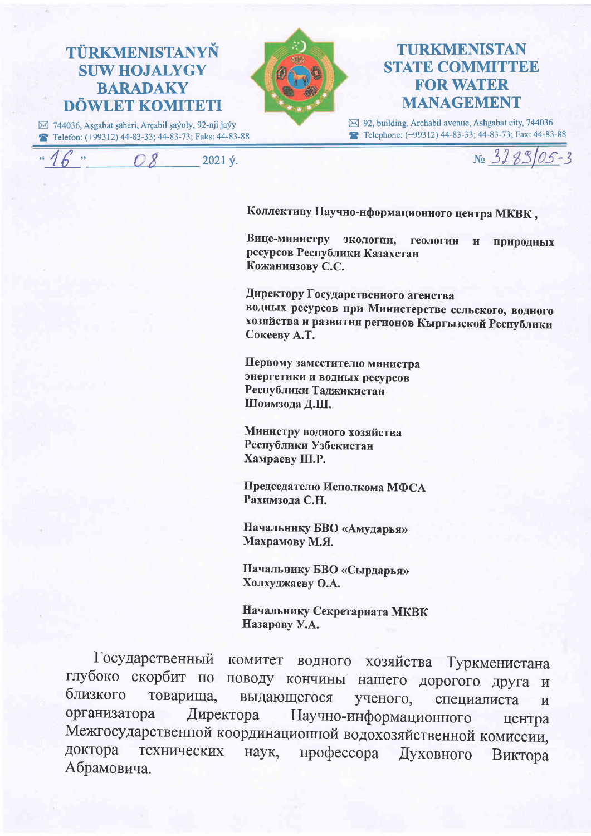

## **TURKMENISTAN STATE COMMITTEE FOR WATER MANAGEMENT**

⊠ 92, building. Archabil avenue, Ashgabat city, 744036 Telephone: (+99312) 44-83-33; 44-83-73; Fax: 44-83-88

2021 ý.



Коллективу Научно-нформационного центра МКВК,

Вице-министру экологии, геологии  $\mathbf{H}$ природных ресурсов Республики Казахстан Кожаниязову С.С.

Директору Государственного агенства водных ресурсов при Министерстве сельского, водного хозяйства и развития регионов Кыргызской Республики Сокееву А.Т.

Первому заместителю министра энергетики и водных ресурсов Республики Таджикистан Шоимзода Д.Ш.

Министру водного хозяйства Республики Узбекистан Хамраеву Ш.Р.

Председателю Исполкома МФСА Рахимзола С.Н.

Начальнику БВО «Амударья» Махрамову М.Я.

Начальнику БВО «Сырдарья» Холхуджаеву О.А.

Начальнику Секретариата МКВК Назарову У.А.

Государственный комитет водного хозяйства Туркменистана глубоко скорбит по поводу кончины нашего дорогого друга  $\mathbf{M}$ близкого товарища, выдающегося ученого, специалиста  $\mathbf{M}$ Директора Научно-информационного организатора центра Межгосударственной координационной водохозяйственной комиссии, профессора доктора технических наук, Духовного Виктора Абрамовича.